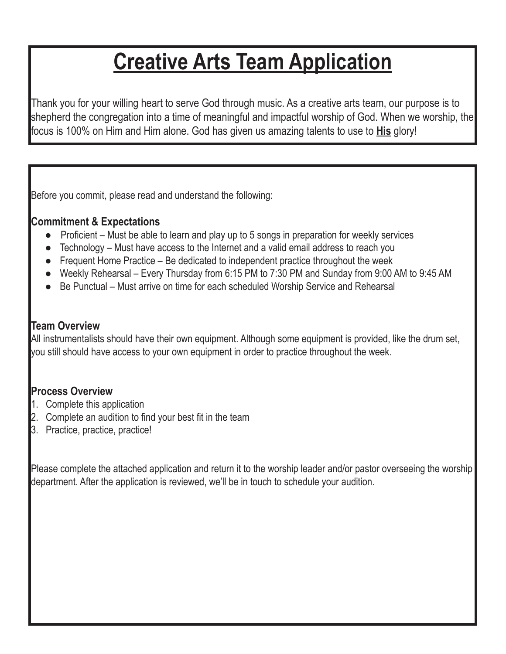## **Creative Arts Team Application**

Thank you for your willing heart to serve God through music. As a creative arts team, our purpose is to shepherd the congregation into a time of meaningful and impactful worship of God. When we worship, the focus is 100% on Him and Him alone. God has given us amazing talents to use to **His** glory!

Before you commit, please read and understand the following:

## **Commitment & Expectations**

- **Proficient Must be able to learn and play up to 5 songs in preparation for weekly services**
- Technology Must have access to the Internet and a valid email address to reach you
- Frequent Home Practice Be dedicated to independent practice throughout the week
- Weekly Rehearsal Every Thursday from 6:15 PM to 7:30 PM and Sunday from 9:00 AM to 9:45 AM
- Be Punctual Must arrive on time for each scheduled Worship Service and Rehearsal

## **Team Overview**

All instrumentalists should have their own equipment. Although some equipment is provided, like the drum set, you still should have access to your own equipment in order to practice throughout the week.

## **Process Overview**

- 1. Complete this application
- 2. Complete an audition to find your best fit in the team
- 3. Practice, practice, practice!

Please complete the attached application and return it to the worship leader and/or pastor overseeing the worship department. After the application is reviewed, we'll be in touch to schedule your audition.